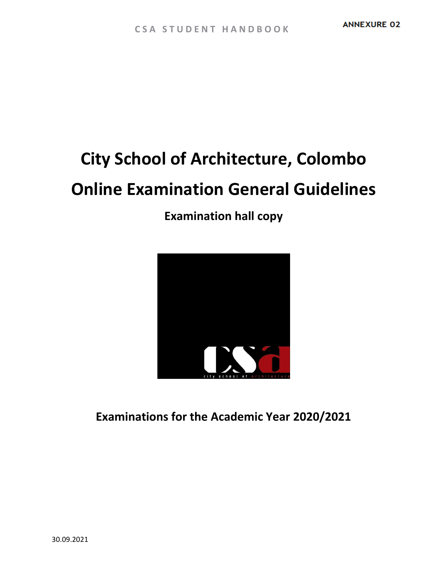# **City School of Architecture, Colombo Online Examination General Guidelines**

**Examination hall copy**



**Examinations for the Academic Year 2020/2021**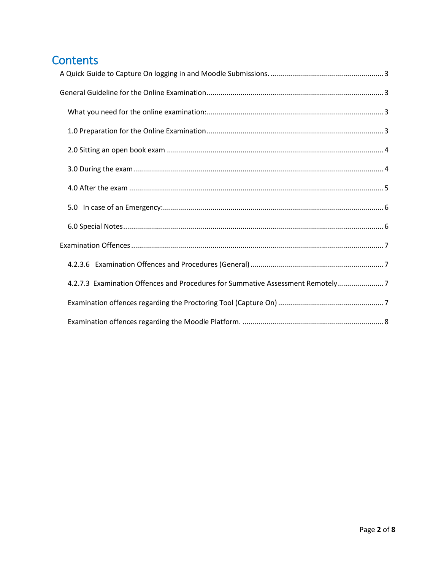# Contents

| 4.2.7.3 Examination Offences and Procedures for Summative Assessment Remotely7 |
|--------------------------------------------------------------------------------|
|                                                                                |
|                                                                                |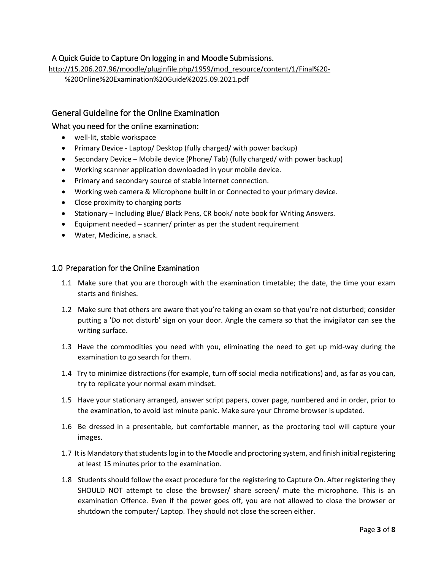# <span id="page-2-0"></span>A Quick Guide to Capture On logging in and Moodle Submissions.

[http://15.206.207.96/moodle/pluginfile.php/1959/mod\\_resource/content/1/Final%20-](http://15.206.207.96/moodle/pluginfile.php/1959/mod_resource/content/1/Final%20-%20Online%20Examination%20Guide%2025.09.2021.pdf) [%20Online%20Examination%20Guide%2025.09.2021.pdf](http://15.206.207.96/moodle/pluginfile.php/1959/mod_resource/content/1/Final%20-%20Online%20Examination%20Guide%2025.09.2021.pdf)

# <span id="page-2-1"></span>General Guideline for the Online Examination

## <span id="page-2-2"></span>What you need for the online examination:

- well-lit, stable workspace
- Primary Device Laptop/ Desktop (fully charged/ with power backup)
- Secondary Device Mobile device (Phone/ Tab) (fully charged/ with power backup)
- Working scanner application downloaded in your mobile device.
- Primary and secondary source of stable internet connection.
- Working web camera & Microphone built in or Connected to your primary device.
- Close proximity to charging ports
- Stationary Including Blue/ Black Pens, CR book/ note book for Writing Answers.
- Equipment needed scanner/ printer as per the student requirement
- Water, Medicine, a snack.

#### <span id="page-2-3"></span>1.0 Preparation for the Online Examination

- 1.1 Make sure that you are thorough with the examination timetable; the date, the time your exam starts and finishes.
- 1.2 Make sure that others are aware that you're taking an exam so that you're not disturbed; consider putting a 'Do not disturb' sign on your door. Angle the camera so that the invigilator can see the writing surface.
- 1.3 Have the commodities you need with you, eliminating the need to get up mid-way during the examination to go search for them.
- 1.4 Try to minimize distractions (for example, turn off social media notifications) and, as far as you can, try to replicate your normal exam mindset.
- 1.5 Have your stationary arranged, answer script papers, cover page, numbered and in order, prior to the examination, to avoid last minute panic. Make sure your Chrome browser is updated.
- 1.6 Be dressed in a presentable, but comfortable manner, as the proctoring tool will capture your images.
- 1.7 It is Mandatory that students log in to the Moodle and proctoring system, and finish initial registering at least 15 minutes prior to the examination.
- 1.8 Students should follow the exact procedure for the registering to Capture On. After registering they SHOULD NOT attempt to close the browser/ share screen/ mute the microphone. This is an examination Offence. Even if the power goes off, you are not allowed to close the browser or shutdown the computer/ Laptop. They should not close the screen either.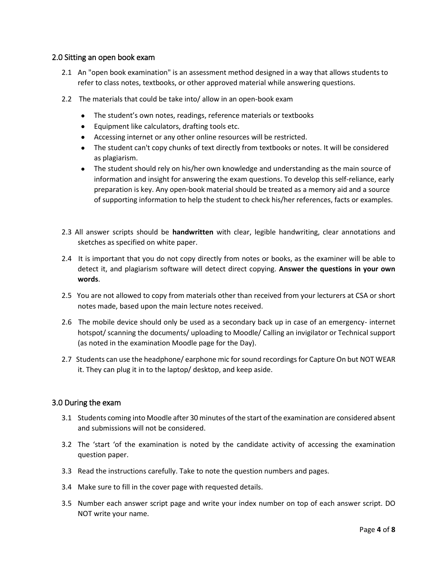#### <span id="page-3-0"></span>2.0 Sitting an open book exam

- 2.1 An "open book examination" is an assessment method designed in a way that allows students to refer to class notes, textbooks, or other approved material while answering questions.
- 2.2 The materials that could be take into/ allow in an open-book exam
	- The student's own notes, readings, reference materials or textbooks
	- Equipment like calculators, drafting tools etc.
	- Accessing internet or any other online resources will be restricted.
	- The student can't copy chunks of text directly from textbooks or notes. It will be considered as plagiarism.
	- The student should rely on his/her own knowledge and understanding as the main source of information and insight for answering the exam questions. To develop this self-reliance, early preparation is key. Any open-book material should be treated as a memory aid and a source of supporting information to help the student to check his/her references, facts or examples.
- 2.3 All answer scripts should be **handwritten** with clear, legible handwriting, clear annotations and sketches as specified on white paper.
- 2.4 It is important that you do not copy directly from notes or books, as the examiner will be able to detect it, and plagiarism software will detect direct copying. **Answer the questions in your own words**.
- 2.5 You are not allowed to copy from materials other than received from your lecturers at CSA or short notes made, based upon the main lecture notes received.
- 2.6 The mobile device should only be used as a secondary back up in case of an emergency- internet hotspot/ scanning the documents/ uploading to Moodle/ Calling an invigilator or Technical support (as noted in the examination Moodle page for the Day).
- 2.7 Students can use the headphone/ earphone mic for sound recordings for Capture On but NOT WEAR it. They can plug it in to the laptop/ desktop, and keep aside.

# <span id="page-3-1"></span>3.0 During the exam

- 3.1 Students coming into Moodle after 30 minutes of the start of the examination are considered absent and submissions will not be considered.
- 3.2 The 'start 'of the examination is noted by the candidate activity of accessing the examination question paper.
- 3.3 Read the instructions carefully. Take to note the question numbers and pages.
- 3.4 Make sure to fill in the cover page with requested details.
- 3.5 Number each answer script page and write your index number on top of each answer script. DO NOT write your name.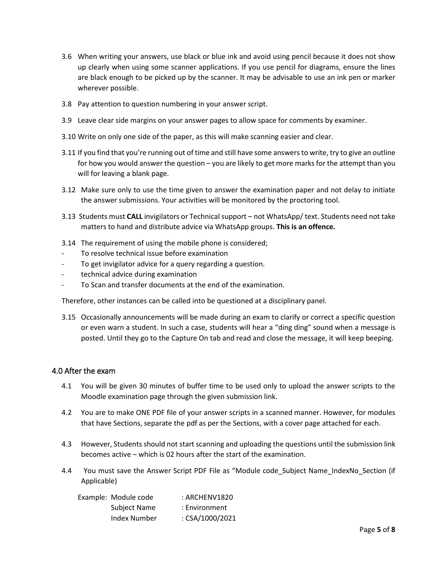- 3.6 When writing your answers, use black or blue ink and avoid using pencil because it does not show up clearly when using some scanner applications. If you use pencil for diagrams, ensure the lines are black enough to be picked up by the scanner. It may be advisable to use an ink pen or marker wherever possible.
- 3.8 Pay attention to question numbering in your answer script.
- 3.9 Leave clear side margins on your answer pages to allow space for comments by examiner.
- 3.10 Write on only one side of the paper, as this will make scanning easier and clear.
- 3.11 If you find that you're running out of time and still have some answers to write, try to give an outline for how you would answer the question – you are likely to get more marks for the attempt than you will for leaving a blank page.
- 3.12 Make sure only to use the time given to answer the examination paper and not delay to initiate the answer submissions. Your activities will be monitored by the proctoring tool.
- 3.13 Students must **CALL** invigilators or Technical support not WhatsApp/ text. Students need not take matters to hand and distribute advice via WhatsApp groups. **This is an offence.**
- 3.14 The requirement of using the mobile phone is considered;
- To resolve technical issue before examination
- To get invigilator advice for a query regarding a question.
- technical advice during examination
- To Scan and transfer documents at the end of the examination.

Therefore, other instances can be called into be questioned at a disciplinary panel.

3.15 Occasionally announcements will be made during an exam to clarify or correct a specific question or even warn a student. In such a case, students will hear a "ding ding" sound when a message is posted. Until they go to the Capture On tab and read and close the message, it will keep beeping.

#### <span id="page-4-0"></span>4.0 After the exam

- 4.1 You will be given 30 minutes of buffer time to be used only to upload the answer scripts to the Moodle examination page through the given submission link.
- 4.2 You are to make ONE PDF file of your answer scripts in a scanned manner. However, for modules that have Sections, separate the pdf as per the Sections, with a cover page attached for each.
- 4.3 However, Students should not start scanning and uploading the questions until the submission link becomes active – which is 02 hours after the start of the examination.
- 4.4 You must save the Answer Script PDF File as "Module code\_Subject Name\_IndexNo\_Section (if Applicable)

| Example: Module code | : ARCHENV1820   |
|----------------------|-----------------|
| Subject Name         | : Environment   |
| Index Number         | : CSA/1000/2021 |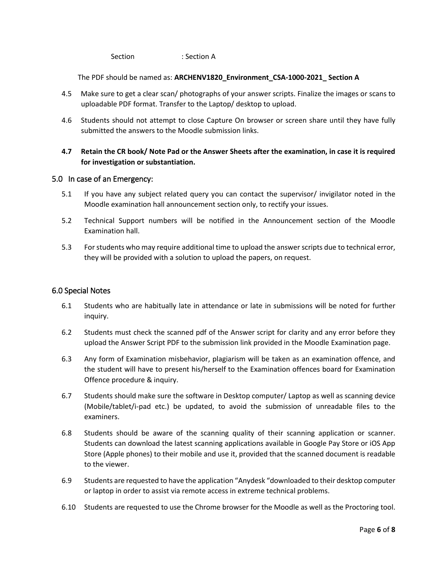Section : Section A

The PDF should be named as: **ARCHENV1820\_Environment\_CSA-1000-2021\_ Section A**

- 4.5Make sure to get a clear scan/ photographs of your answer scripts. Finalize the images or scans to uploadable PDF format. Transfer to the Laptop/ desktop to upload.
- 4.6 Students should not attempt to close Capture On browser or screen share until they have fully submitted the answers to the Moodle submission links.

# **4.7 Retain the CR book/ Note Pad or the Answer Sheets after the examination, in case it is required for investigation or substantiation.**

#### <span id="page-5-0"></span>5.0 In case of an Emergency:

- 5.1 If you have any subject related query you can contact the supervisor/ invigilator noted in the Moodle examination hall announcement section only, to rectify your issues.
- 5.2 Technical Support numbers will be notified in the Announcement section of the Moodle Examination hall.
- 5.3 For students who may require additional time to upload the answer scripts due to technical error, they will be provided with a solution to upload the papers, on request.

#### <span id="page-5-1"></span>6.0 Special Notes

- 6.1 Students who are habitually late in attendance or late in submissions will be noted for further inquiry.
- 6.2 Students must check the scanned pdf of the Answer script for clarity and any error before they upload the Answer Script PDF to the submission link provided in the Moodle Examination page.
- 6.3 Any form of Examination misbehavior, plagiarism will be taken as an examination offence, and the student will have to present his/herself to the Examination offences board for Examination Offence procedure & inquiry.
- 6.7 Students should make sure the software in Desktop computer/ Laptop as well as scanning device (Mobile/tablet/i-pad etc.) be updated, to avoid the submission of unreadable files to the examiners.
- 6.8 Students should be aware of the scanning quality of their scanning application or scanner. Students can download the latest scanning applications available in Google Pay Store or iOS App Store (Apple phones) to their mobile and use it, provided that the scanned document is readable to the viewer.
- 6.9 Students are requested to have the application "Anydesk "downloaded to their desktop computer or laptop in order to assist via remote access in extreme technical problems.
- 6.10 Students are requested to use the Chrome browser for the Moodle as well as the Proctoring tool.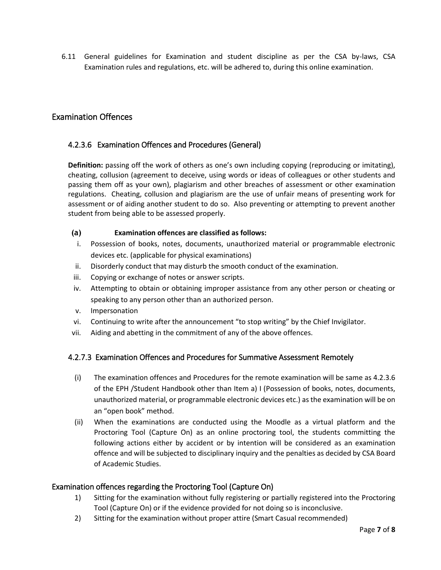6.11 General guidelines for Examination and student discipline as per the CSA by-laws, CSA Examination rules and regulations, etc. will be adhered to, during this online examination.

# <span id="page-6-0"></span>Examination Offences

## <span id="page-6-1"></span>4.2.3.6 Examination Offences and Procedures (General)

**Definition:** passing off the work of others as one's own including copying (reproducing or imitating), cheating, collusion (agreement to deceive, using words or ideas of colleagues or other students and passing them off as your own), plagiarism and other breaches of assessment or other examination regulations. Cheating, collusion and plagiarism are the use of unfair means of presenting work for assessment or of aiding another student to do so. Also preventing or attempting to prevent another student from being able to be assessed properly.

#### **(a) Examination offences are classified as follows:**

- i. Possession of books, notes, documents, unauthorized material or programmable electronic devices etc. (applicable for physical examinations)
- ii. Disorderly conduct that may disturb the smooth conduct of the examination.
- iii. Copying or exchange of notes or answer scripts.
- iv. Attempting to obtain or obtaining improper assistance from any other person or cheating or speaking to any person other than an authorized person.
- v. Impersonation
- vi. Continuing to write after the announcement "to stop writing" by the Chief Invigilator.
- vii. Aiding and abetting in the commitment of any of the above offences.

#### <span id="page-6-2"></span>4.2.7.3 Examination Offences and Procedures for Summative Assessment Remotely

- (i) The examination offences and Procedures for the remote examination will be same as 4.2.3.6 of the EPH /Student Handbook other than Item a) I (Possession of books, notes, documents, unauthorized material, or programmable electronic devices etc.) as the examination will be on an "open book" method.
- (ii) When the examinations are conducted using the Moodle as a virtual platform and the Proctoring Tool (Capture On) as an online proctoring tool, the students committing the following actions either by accident or by intention will be considered as an examination offence and will be subjected to disciplinary inquiry and the penalties as decided by CSA Board of Academic Studies.

#### <span id="page-6-3"></span>Examination offences regarding the Proctoring Tool (Capture On)

- 1) Sitting for the examination without fully registering or partially registered into the Proctoring Tool (Capture On) or if the evidence provided for not doing so is inconclusive.
- 2) Sitting for the examination without proper attire (Smart Casual recommended)